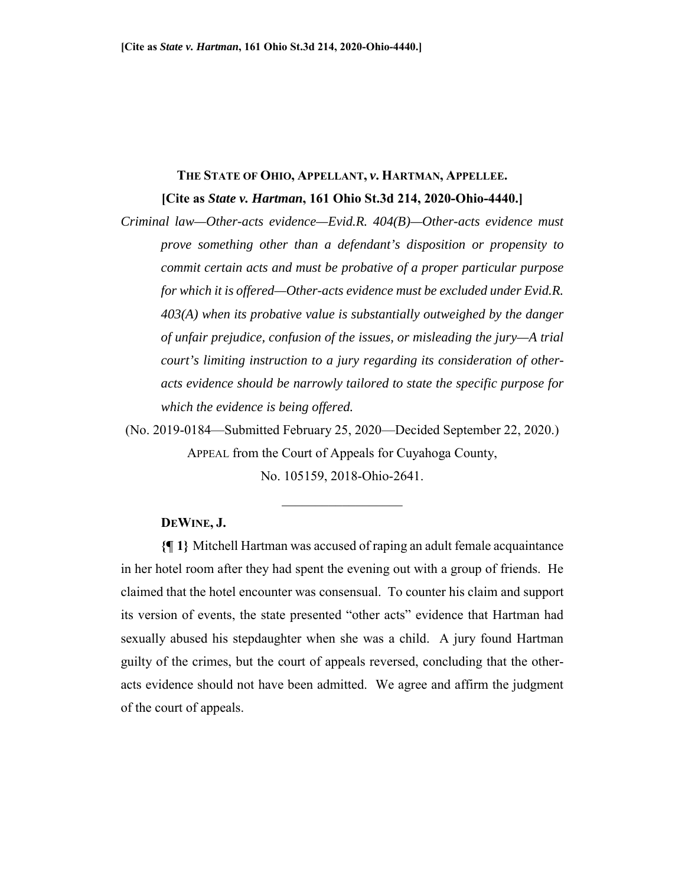# **THE STATE OF OHIO, APPELLANT,** *v***. HARTMAN, APPELLEE.**

**[Cite as** *State v. Hartman***, 161 Ohio St.3d 214, 2020-Ohio-4440.]** 

*Criminal law—Other-acts evidence—Evid.R. 404(B)—Other-acts evidence must prove something other than a defendant's disposition or propensity to commit certain acts and must be probative of a proper particular purpose for which it is offered—Other-acts evidence must be excluded under Evid.R. 403(A) when its probative value is substantially outweighed by the danger of unfair prejudice, confusion of the issues, or misleading the jury—A trial court's limiting instruction to a jury regarding its consideration of otheracts evidence should be narrowly tailored to state the specific purpose for which the evidence is being offered.* 

(No. 2019-0184—Submitted February 25, 2020—Decided September 22, 2020.) APPEAL from the Court of Appeals for Cuyahoga County,

No. 105159, 2018-Ohio-2641.

 $\frac{1}{2}$  ,  $\frac{1}{2}$  ,  $\frac{1}{2}$  ,  $\frac{1}{2}$  ,  $\frac{1}{2}$  ,  $\frac{1}{2}$  ,  $\frac{1}{2}$  ,  $\frac{1}{2}$  ,  $\frac{1}{2}$  ,  $\frac{1}{2}$ 

### **DEWINE, J.**

**{¶ 1}** Mitchell Hartman was accused of raping an adult female acquaintance in her hotel room after they had spent the evening out with a group of friends. He claimed that the hotel encounter was consensual. To counter his claim and support its version of events, the state presented "other acts" evidence that Hartman had sexually abused his stepdaughter when she was a child. A jury found Hartman guilty of the crimes, but the court of appeals reversed, concluding that the otheracts evidence should not have been admitted. We agree and affirm the judgment of the court of appeals.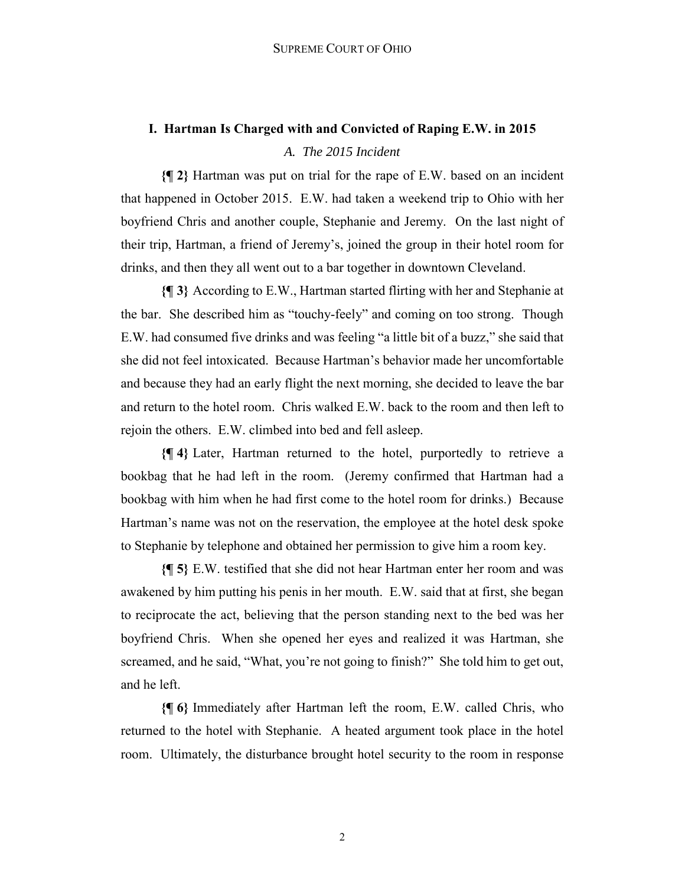# **I. Hartman Is Charged with and Convicted of Raping E.W. in 2015** *A. The 2015 Incident*

**{¶ 2}** Hartman was put on trial for the rape of E.W. based on an incident that happened in October 2015. E.W. had taken a weekend trip to Ohio with her boyfriend Chris and another couple, Stephanie and Jeremy. On the last night of their trip, Hartman, a friend of Jeremy's, joined the group in their hotel room for drinks, and then they all went out to a bar together in downtown Cleveland.

**{¶ 3}** According to E.W., Hartman started flirting with her and Stephanie at the bar. She described him as "touchy-feely" and coming on too strong. Though E.W. had consumed five drinks and was feeling "a little bit of a buzz," she said that she did not feel intoxicated. Because Hartman's behavior made her uncomfortable and because they had an early flight the next morning, she decided to leave the bar and return to the hotel room. Chris walked E.W. back to the room and then left to rejoin the others. E.W. climbed into bed and fell asleep.

**{¶ 4}** Later, Hartman returned to the hotel, purportedly to retrieve a bookbag that he had left in the room. (Jeremy confirmed that Hartman had a bookbag with him when he had first come to the hotel room for drinks.) Because Hartman's name was not on the reservation, the employee at the hotel desk spoke to Stephanie by telephone and obtained her permission to give him a room key.

**{¶ 5}** E.W. testified that she did not hear Hartman enter her room and was awakened by him putting his penis in her mouth. E.W. said that at first, she began to reciprocate the act, believing that the person standing next to the bed was her boyfriend Chris. When she opened her eyes and realized it was Hartman, she screamed, and he said, "What, you're not going to finish?" She told him to get out, and he left.

**{¶ 6}** Immediately after Hartman left the room, E.W. called Chris, who returned to the hotel with Stephanie. A heated argument took place in the hotel room. Ultimately, the disturbance brought hotel security to the room in response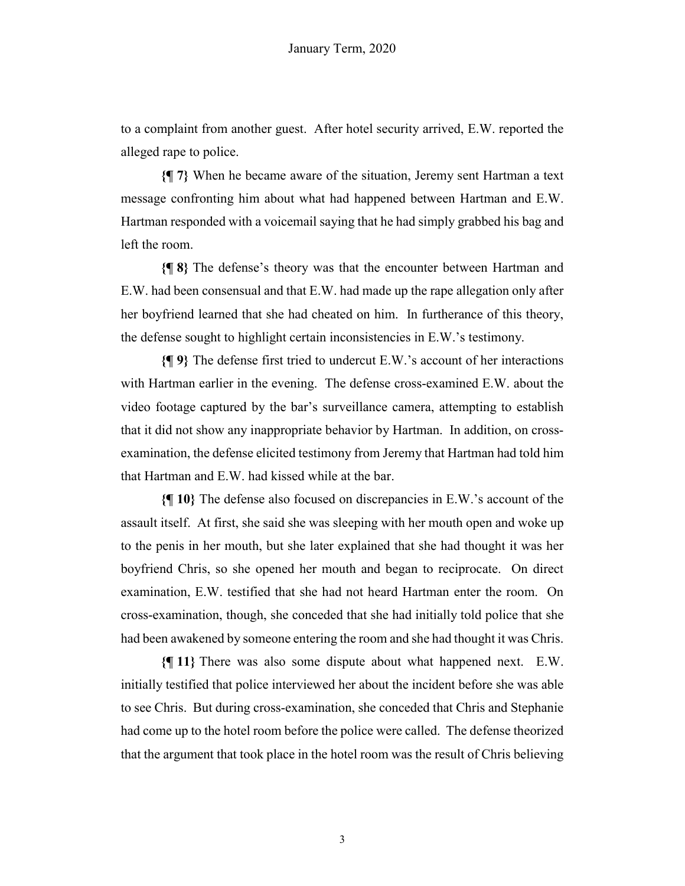to a complaint from another guest. After hotel security arrived, E.W. reported the alleged rape to police.

**{¶ 7}** When he became aware of the situation, Jeremy sent Hartman a text message confronting him about what had happened between Hartman and E.W. Hartman responded with a voicemail saying that he had simply grabbed his bag and left the room.

**{¶ 8}** The defense's theory was that the encounter between Hartman and E.W. had been consensual and that E.W. had made up the rape allegation only after her boyfriend learned that she had cheated on him. In furtherance of this theory, the defense sought to highlight certain inconsistencies in E.W.'s testimony.

**{¶ 9}** The defense first tried to undercut E.W.'s account of her interactions with Hartman earlier in the evening. The defense cross-examined E.W. about the video footage captured by the bar's surveillance camera, attempting to establish that it did not show any inappropriate behavior by Hartman. In addition, on crossexamination, the defense elicited testimony from Jeremy that Hartman had told him that Hartman and E.W. had kissed while at the bar.

**{¶ 10}** The defense also focused on discrepancies in E.W.'s account of the assault itself. At first, she said she was sleeping with her mouth open and woke up to the penis in her mouth, but she later explained that she had thought it was her boyfriend Chris, so she opened her mouth and began to reciprocate. On direct examination, E.W. testified that she had not heard Hartman enter the room. On cross-examination, though, she conceded that she had initially told police that she had been awakened by someone entering the room and she had thought it was Chris.

**{¶ 11}** There was also some dispute about what happened next. E.W. initially testified that police interviewed her about the incident before she was able to see Chris. But during cross-examination, she conceded that Chris and Stephanie had come up to the hotel room before the police were called. The defense theorized that the argument that took place in the hotel room was the result of Chris believing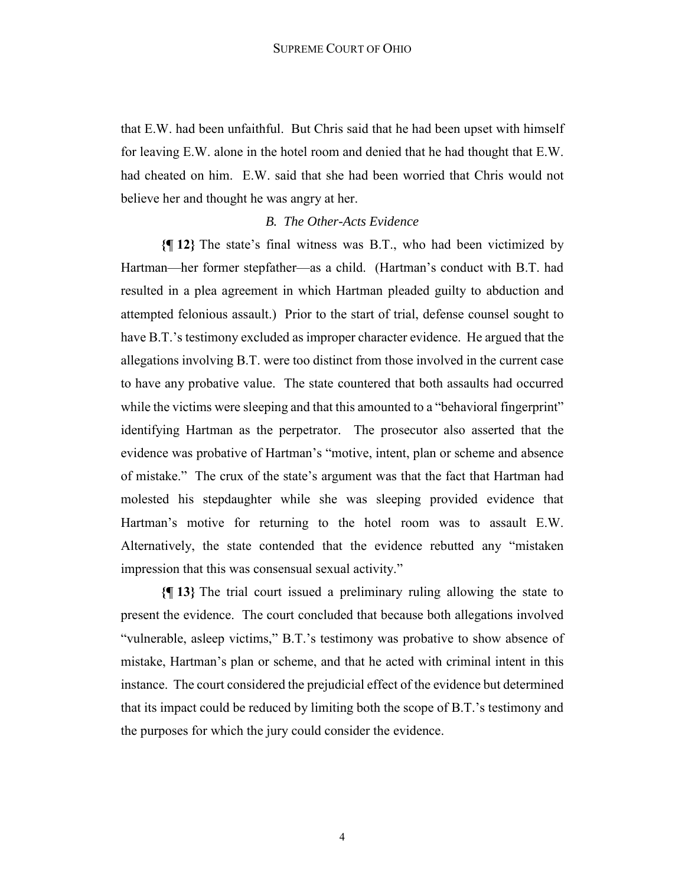that E.W. had been unfaithful. But Chris said that he had been upset with himself for leaving E.W. alone in the hotel room and denied that he had thought that E.W. had cheated on him. E.W. said that she had been worried that Chris would not believe her and thought he was angry at her.

#### *B. The Other-Acts Evidence*

**{¶ 12}** The state's final witness was B.T., who had been victimized by Hartman—her former stepfather—as a child. (Hartman's conduct with B.T. had resulted in a plea agreement in which Hartman pleaded guilty to abduction and attempted felonious assault.) Prior to the start of trial, defense counsel sought to have B.T.'s testimony excluded as improper character evidence. He argued that the allegations involving B.T. were too distinct from those involved in the current case to have any probative value. The state countered that both assaults had occurred while the victims were sleeping and that this amounted to a "behavioral fingerprint" identifying Hartman as the perpetrator. The prosecutor also asserted that the evidence was probative of Hartman's "motive, intent, plan or scheme and absence of mistake." The crux of the state's argument was that the fact that Hartman had molested his stepdaughter while she was sleeping provided evidence that Hartman's motive for returning to the hotel room was to assault E.W. Alternatively, the state contended that the evidence rebutted any "mistaken impression that this was consensual sexual activity."

**{¶ 13}** The trial court issued a preliminary ruling allowing the state to present the evidence. The court concluded that because both allegations involved "vulnerable, asleep victims," B.T.'s testimony was probative to show absence of mistake, Hartman's plan or scheme, and that he acted with criminal intent in this instance. The court considered the prejudicial effect of the evidence but determined that its impact could be reduced by limiting both the scope of B.T.'s testimony and the purposes for which the jury could consider the evidence.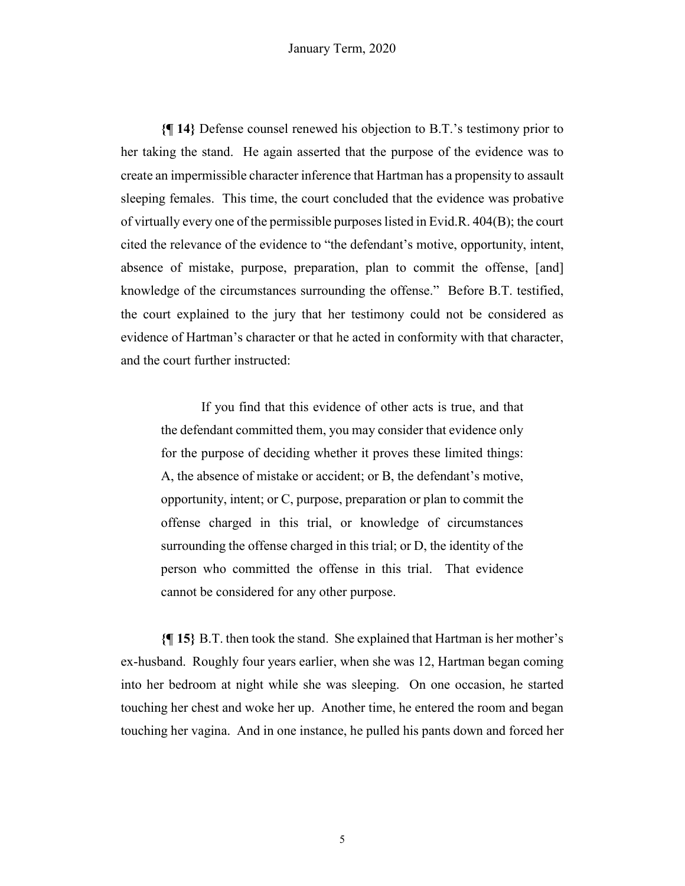**{¶ 14}** Defense counsel renewed his objection to B.T.'s testimony prior to her taking the stand. He again asserted that the purpose of the evidence was to create an impermissible character inference that Hartman has a propensity to assault sleeping females. This time, the court concluded that the evidence was probative of virtually every one of the permissible purposes listed in Evid.R. 404(B); the court cited the relevance of the evidence to "the defendant's motive, opportunity, intent, absence of mistake, purpose, preparation, plan to commit the offense, [and] knowledge of the circumstances surrounding the offense." Before B.T. testified, the court explained to the jury that her testimony could not be considered as evidence of Hartman's character or that he acted in conformity with that character, and the court further instructed:

If you find that this evidence of other acts is true, and that the defendant committed them, you may consider that evidence only for the purpose of deciding whether it proves these limited things: A, the absence of mistake or accident; or B, the defendant's motive, opportunity, intent; or C, purpose, preparation or plan to commit the offense charged in this trial, or knowledge of circumstances surrounding the offense charged in this trial; or D, the identity of the person who committed the offense in this trial. That evidence cannot be considered for any other purpose.

**{¶ 15}** B.T. then took the stand. She explained that Hartman is her mother's ex-husband. Roughly four years earlier, when she was 12, Hartman began coming into her bedroom at night while she was sleeping. On one occasion, he started touching her chest and woke her up. Another time, he entered the room and began touching her vagina. And in one instance, he pulled his pants down and forced her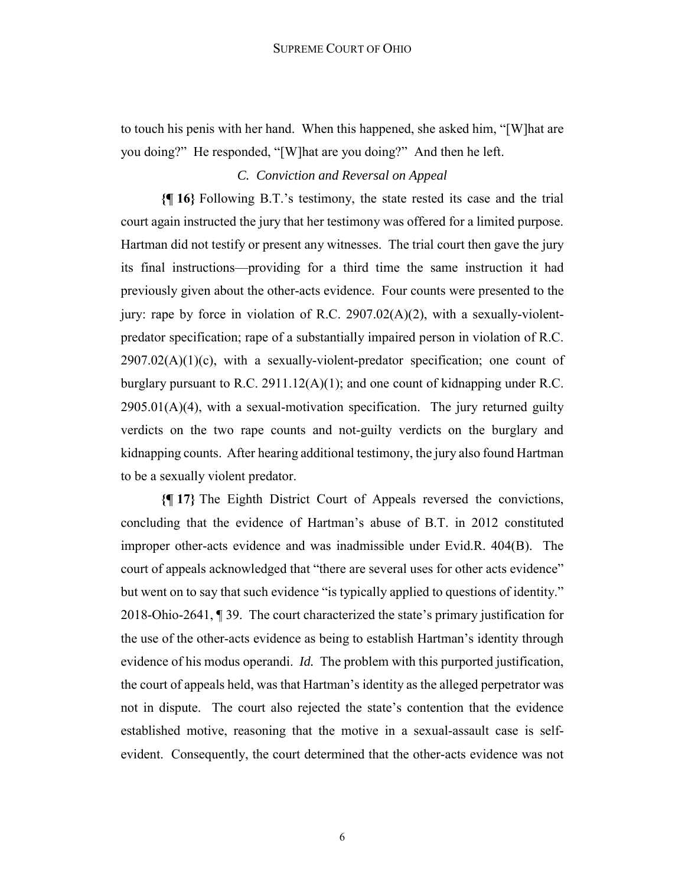to touch his penis with her hand. When this happened, she asked him, "[W]hat are you doing?" He responded, "[W]hat are you doing?" And then he left.

# *C. Conviction and Reversal on Appeal*

**{¶ 16}** Following B.T.'s testimony, the state rested its case and the trial court again instructed the jury that her testimony was offered for a limited purpose. Hartman did not testify or present any witnesses. The trial court then gave the jury its final instructions—providing for a third time the same instruction it had previously given about the other-acts evidence. Four counts were presented to the jury: rape by force in violation of R.C. 2907.02(A)(2), with a sexually-violentpredator specification; rape of a substantially impaired person in violation of R.C.  $2907.02(A)(1)(c)$ , with a sexually-violent-predator specification; one count of burglary pursuant to R.C. 2911.12(A)(1); and one count of kidnapping under R.C.  $2905.01(A)(4)$ , with a sexual-motivation specification. The jury returned guilty verdicts on the two rape counts and not-guilty verdicts on the burglary and kidnapping counts. After hearing additional testimony, the jury also found Hartman to be a sexually violent predator.

**{¶ 17}** The Eighth District Court of Appeals reversed the convictions, concluding that the evidence of Hartman's abuse of B.T. in 2012 constituted improper other-acts evidence and was inadmissible under Evid.R. 404(B). The court of appeals acknowledged that "there are several uses for other acts evidence" but went on to say that such evidence "is typically applied to questions of identity." 2018-Ohio-2641, ¶ 39. The court characterized the state's primary justification for the use of the other-acts evidence as being to establish Hartman's identity through evidence of his modus operandi. *Id.* The problem with this purported justification, the court of appeals held, was that Hartman's identity as the alleged perpetrator was not in dispute. The court also rejected the state's contention that the evidence established motive, reasoning that the motive in a sexual-assault case is selfevident. Consequently, the court determined that the other-acts evidence was not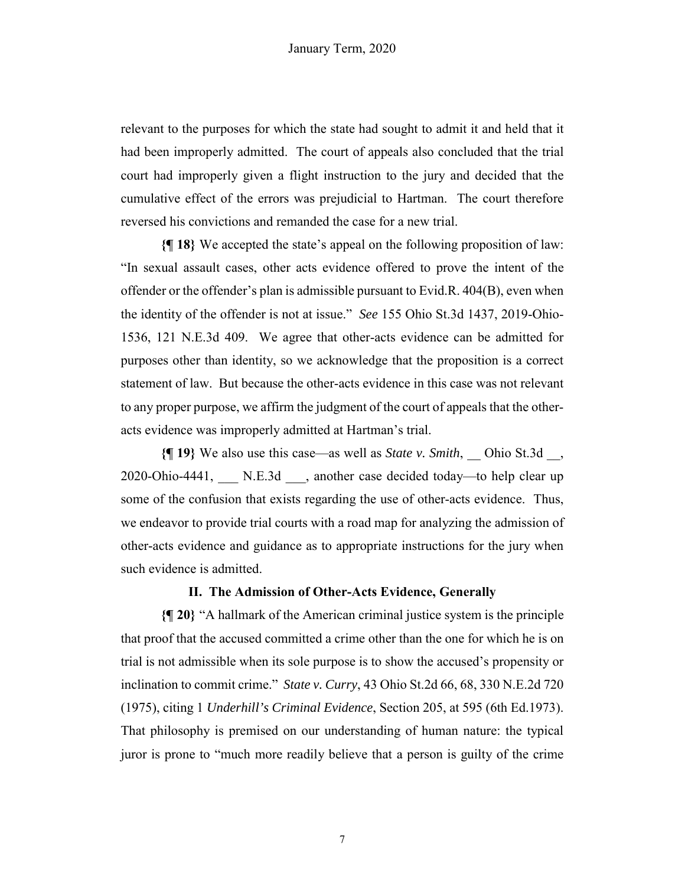relevant to the purposes for which the state had sought to admit it and held that it had been improperly admitted. The court of appeals also concluded that the trial court had improperly given a flight instruction to the jury and decided that the cumulative effect of the errors was prejudicial to Hartman. The court therefore reversed his convictions and remanded the case for a new trial.

**{¶ 18}** We accepted the state's appeal on the following proposition of law: "In sexual assault cases, other acts evidence offered to prove the intent of the offender or the offender's plan is admissible pursuant to Evid.R. 404(B), even when the identity of the offender is not at issue." *See* 155 Ohio St.3d 1437, 2019-Ohio-1536, 121 N.E.3d 409. We agree that other-acts evidence can be admitted for purposes other than identity, so we acknowledge that the proposition is a correct statement of law. But because the other-acts evidence in this case was not relevant to any proper purpose, we affirm the judgment of the court of appeals that the otheracts evidence was improperly admitted at Hartman's trial.

**{¶ 19}** We also use this case—as well as *State v. Smith*, \_\_ Ohio St.3d \_\_, 2020-Ohio-4441, N.E.3d, another case decided today—to help clear up some of the confusion that exists regarding the use of other-acts evidence. Thus, we endeavor to provide trial courts with a road map for analyzing the admission of other-acts evidence and guidance as to appropriate instructions for the jury when such evidence is admitted.

#### **II. The Admission of Other-Acts Evidence, Generally**

**{¶ 20}** "A hallmark of the American criminal justice system is the principle that proof that the accused committed a crime other than the one for which he is on trial is not admissible when its sole purpose is to show the accused's propensity or inclination to commit crime." *State v. Curry*, 43 Ohio St.2d 66, 68, 330 N.E.2d 720 (1975), citing 1 *Underhill's Criminal Evidence*, Section 205, at 595 (6th Ed.1973). That philosophy is premised on our understanding of human nature: the typical juror is prone to "much more readily believe that a person is guilty of the crime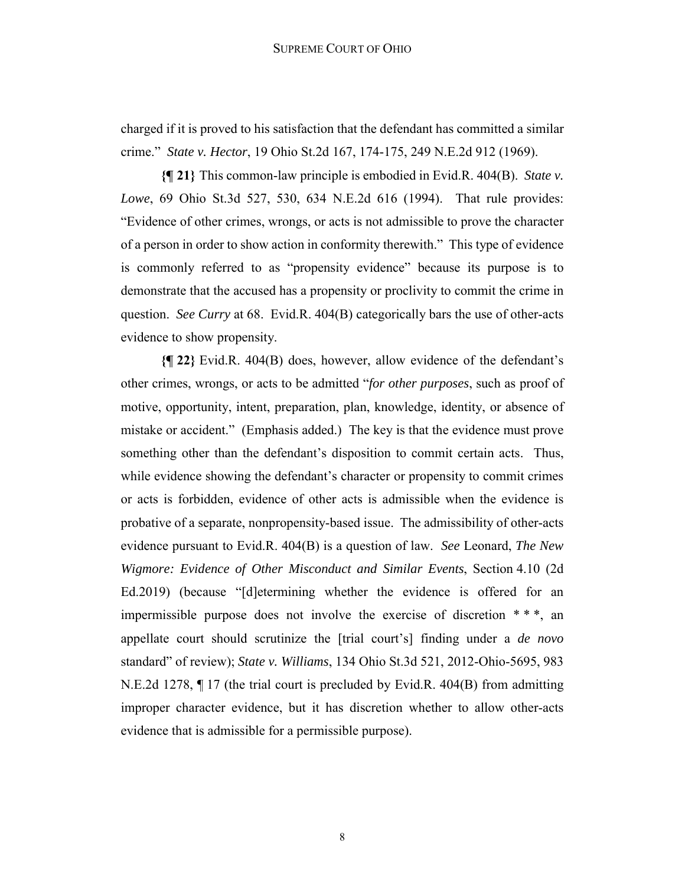charged if it is proved to his satisfaction that the defendant has committed a similar crime." *State v. Hector*, 19 Ohio St.2d 167, 174-175, 249 N.E.2d 912 (1969).

**{¶ 21}** This common-law principle is embodied in Evid.R. 404(B). *State v. Lowe*, 69 Ohio St.3d 527, 530, 634 N.E.2d 616 (1994). That rule provides: "Evidence of other crimes, wrongs, or acts is not admissible to prove the character of a person in order to show action in conformity therewith." This type of evidence is commonly referred to as "propensity evidence" because its purpose is to demonstrate that the accused has a propensity or proclivity to commit the crime in question. *See Curry* at 68. Evid.R. 404(B) categorically bars the use of other-acts evidence to show propensity.

**{¶ 22}** Evid.R. 404(B) does, however, allow evidence of the defendant's other crimes, wrongs, or acts to be admitted "*for other purposes*, such as proof of motive, opportunity, intent, preparation, plan, knowledge, identity, or absence of mistake or accident." (Emphasis added.) The key is that the evidence must prove something other than the defendant's disposition to commit certain acts. Thus, while evidence showing the defendant's character or propensity to commit crimes or acts is forbidden, evidence of other acts is admissible when the evidence is probative of a separate, nonpropensity-based issue. The admissibility of other-acts evidence pursuant to Evid.R. 404(B) is a question of law. *See* Leonard, *The New Wigmore: Evidence of Other Misconduct and Similar Events*, Section 4.10 (2d Ed.2019) (because "[d]etermining whether the evidence is offered for an impermissible purpose does not involve the exercise of discretion  $**$ , an appellate court should scrutinize the [trial court's] finding under a *de novo* standard" of review); *State v. Williams*, 134 Ohio St.3d 521, 2012-Ohio-5695, 983 N.E.2d 1278, ¶ 17 (the trial court is precluded by Evid.R. 404(B) from admitting improper character evidence, but it has discretion whether to allow other-acts evidence that is admissible for a permissible purpose).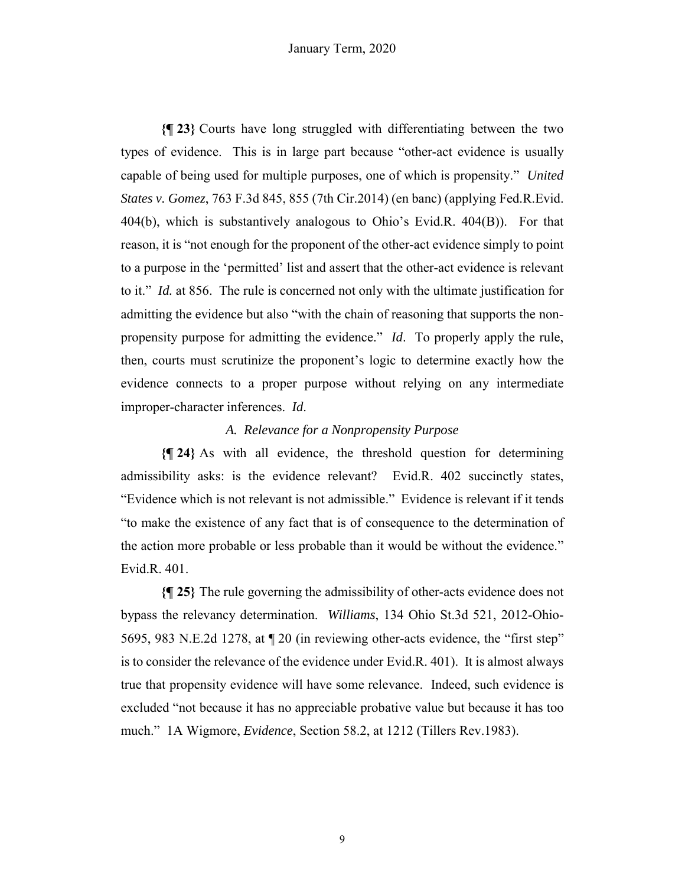**{¶ 23}** Courts have long struggled with differentiating between the two types of evidence. This is in large part because "other-act evidence is usually capable of being used for multiple purposes, one of which is propensity." *United States v. Gomez*, 763 F.3d 845, 855 (7th Cir.2014) (en banc) (applying Fed.R.Evid. 404(b), which is substantively analogous to Ohio's Evid.R. 404(B)). For that reason, it is "not enough for the proponent of the other-act evidence simply to point to a purpose in the 'permitted' list and assert that the other-act evidence is relevant to it." *Id.* at 856. The rule is concerned not only with the ultimate justification for admitting the evidence but also "with the chain of reasoning that supports the nonpropensity purpose for admitting the evidence." *Id*. To properly apply the rule, then, courts must scrutinize the proponent's logic to determine exactly how the evidence connects to a proper purpose without relying on any intermediate improper-character inferences. *Id*.

### *A. Relevance for a Nonpropensity Purpose*

**{¶ 24}** As with all evidence, the threshold question for determining admissibility asks: is the evidence relevant? Evid.R. 402 succinctly states, "Evidence which is not relevant is not admissible." Evidence is relevant if it tends "to make the existence of any fact that is of consequence to the determination of the action more probable or less probable than it would be without the evidence." Evid.R. 401.

**{¶ 25}** The rule governing the admissibility of other-acts evidence does not bypass the relevancy determination. *Williams*, 134 Ohio St.3d 521, 2012-Ohio-5695, 983 N.E.2d 1278, at ¶ 20 (in reviewing other-acts evidence, the "first step" is to consider the relevance of the evidence under Evid.R. 401). It is almost always true that propensity evidence will have some relevance. Indeed, such evidence is excluded "not because it has no appreciable probative value but because it has too much." 1A Wigmore, *Evidence*, Section 58.2, at 1212 (Tillers Rev.1983).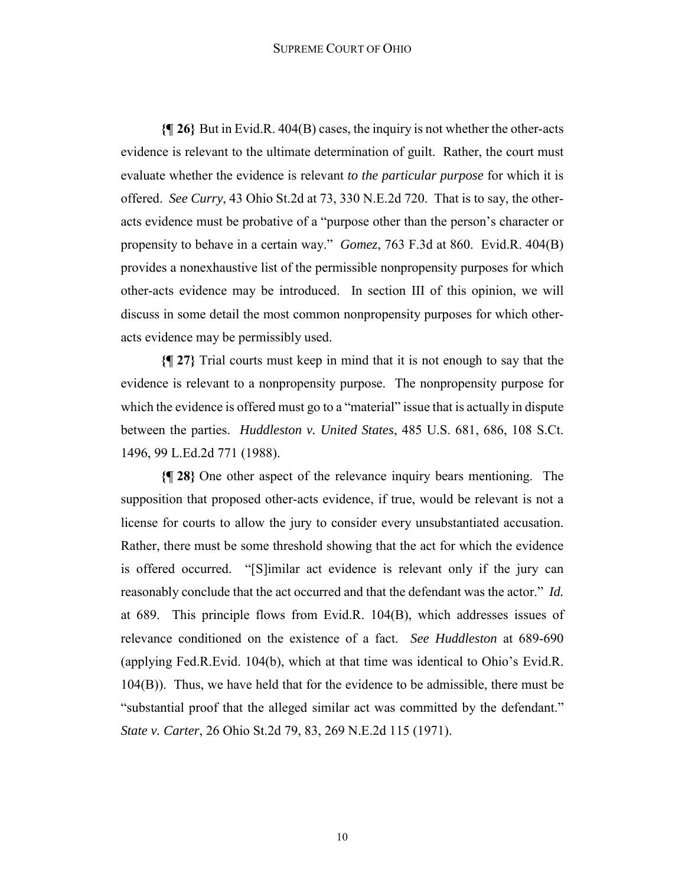#### SUPREME COURT OF OHIO

**{¶ 26}** But in Evid.R. 404(B) cases, the inquiry is not whether the other-acts evidence is relevant to the ultimate determination of guilt. Rather, the court must evaluate whether the evidence is relevant *to the particular purpose* for which it is offered. *See Curry*, 43 Ohio St.2d at 73, 330 N.E.2d 720. That is to say, the otheracts evidence must be probative of a "purpose other than the person's character or propensity to behave in a certain way." *Gomez*, 763 F.3d at 860. Evid.R. 404(B) provides a nonexhaustive list of the permissible nonpropensity purposes for which other-acts evidence may be introduced. In section III of this opinion, we will discuss in some detail the most common nonpropensity purposes for which otheracts evidence may be permissibly used.

**{¶ 27}** Trial courts must keep in mind that it is not enough to say that the evidence is relevant to a nonpropensity purpose. The nonpropensity purpose for which the evidence is offered must go to a "material" issue that is actually in dispute between the parties. *Huddleston v. United States*, 485 U.S. 681, 686, 108 S.Ct. 1496, 99 L.Ed.2d 771 (1988).

**{¶ 28}** One other aspect of the relevance inquiry bears mentioning. The supposition that proposed other-acts evidence, if true, would be relevant is not a license for courts to allow the jury to consider every unsubstantiated accusation. Rather, there must be some threshold showing that the act for which the evidence is offered occurred. "[S]imilar act evidence is relevant only if the jury can reasonably conclude that the act occurred and that the defendant was the actor." *Id.* at 689. This principle flows from Evid.R. 104(B), which addresses issues of relevance conditioned on the existence of a fact. *See Huddleston* at 689-690 (applying Fed.R.Evid. 104(b), which at that time was identical to Ohio's Evid.R. 104(B)). Thus, we have held that for the evidence to be admissible, there must be "substantial proof that the alleged similar act was committed by the defendant." *State v. Carter*, 26 Ohio St.2d 79, 83, 269 N.E.2d 115 (1971).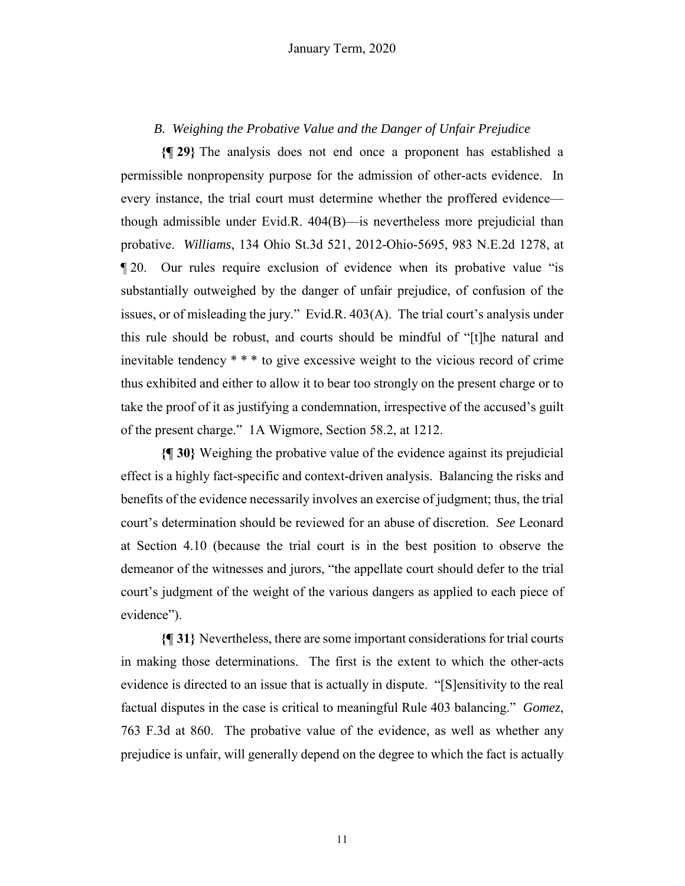# *B. Weighing the Probative Value and the Danger of Unfair Prejudice*

**{¶ 29}** The analysis does not end once a proponent has established a permissible nonpropensity purpose for the admission of other-acts evidence. In every instance, the trial court must determine whether the proffered evidence though admissible under Evid.R. 404(B)—is nevertheless more prejudicial than probative. *Williams*, 134 Ohio St.3d 521, 2012-Ohio-5695, 983 N.E.2d 1278, at ¶ 20. Our rules require exclusion of evidence when its probative value "is substantially outweighed by the danger of unfair prejudice, of confusion of the issues, or of misleading the jury." Evid.R. 403(A). The trial court's analysis under this rule should be robust, and courts should be mindful of "[t]he natural and inevitable tendency \* \* \* to give excessive weight to the vicious record of crime thus exhibited and either to allow it to bear too strongly on the present charge or to take the proof of it as justifying a condemnation, irrespective of the accused's guilt of the present charge." 1A Wigmore, Section 58.2, at 1212.

**{¶ 30}** Weighing the probative value of the evidence against its prejudicial effect is a highly fact-specific and context-driven analysis. Balancing the risks and benefits of the evidence necessarily involves an exercise of judgment; thus, the trial court's determination should be reviewed for an abuse of discretion. *See* Leonard at Section 4.10 (because the trial court is in the best position to observe the demeanor of the witnesses and jurors, "the appellate court should defer to the trial court's judgment of the weight of the various dangers as applied to each piece of evidence").

**{¶ 31}** Nevertheless, there are some important considerations for trial courts in making those determinations. The first is the extent to which the other-acts evidence is directed to an issue that is actually in dispute. "[S]ensitivity to the real factual disputes in the case is critical to meaningful Rule 403 balancing." *Gomez*, 763 F.3d at 860. The probative value of the evidence, as well as whether any prejudice is unfair, will generally depend on the degree to which the fact is actually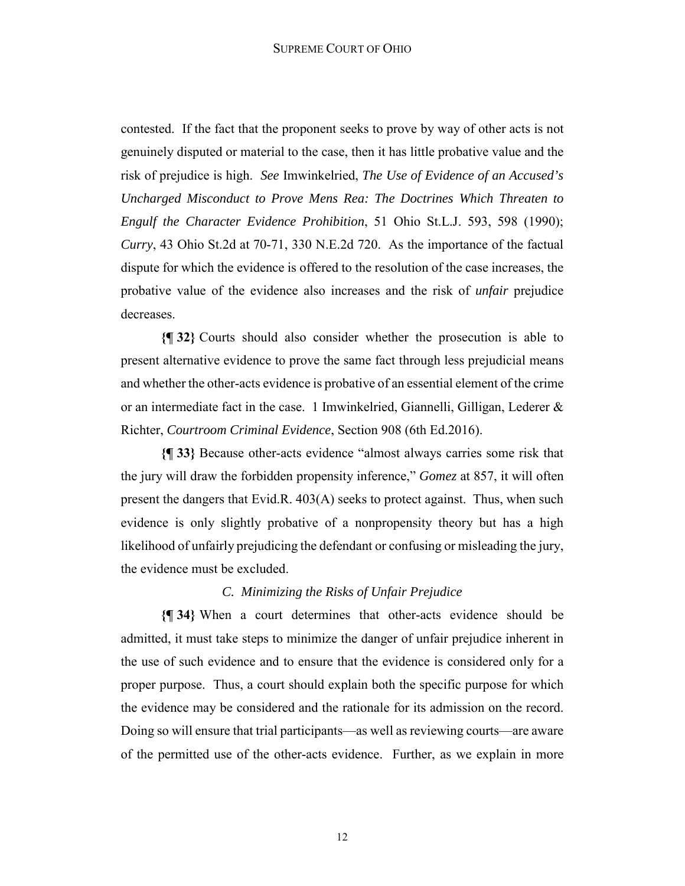contested. If the fact that the proponent seeks to prove by way of other acts is not genuinely disputed or material to the case, then it has little probative value and the risk of prejudice is high. *See* Imwinkelried, *The Use of Evidence of an Accused's Uncharged Misconduct to Prove Mens Rea: The Doctrines Which Threaten to Engulf the Character Evidence Prohibition*, 51 Ohio St.L.J. 593, 598 (1990); *Curry*, 43 Ohio St.2d at 70-71, 330 N.E.2d 720. As the importance of the factual dispute for which the evidence is offered to the resolution of the case increases, the probative value of the evidence also increases and the risk of *unfair* prejudice decreases.

**{¶ 32}** Courts should also consider whether the prosecution is able to present alternative evidence to prove the same fact through less prejudicial means and whether the other-acts evidence is probative of an essential element of the crime or an intermediate fact in the case. 1 Imwinkelried, Giannelli, Gilligan, Lederer & Richter, *Courtroom Criminal Evidence*, Section 908 (6th Ed.2016).

**{¶ 33}** Because other-acts evidence "almost always carries some risk that the jury will draw the forbidden propensity inference," *Gomez* at 857, it will often present the dangers that Evid.R. 403(A) seeks to protect against. Thus, when such evidence is only slightly probative of a nonpropensity theory but has a high likelihood of unfairly prejudicing the defendant or confusing or misleading the jury, the evidence must be excluded.

## *C. Minimizing the Risks of Unfair Prejudice*

**{¶ 34}** When a court determines that other-acts evidence should be admitted, it must take steps to minimize the danger of unfair prejudice inherent in the use of such evidence and to ensure that the evidence is considered only for a proper purpose. Thus, a court should explain both the specific purpose for which the evidence may be considered and the rationale for its admission on the record. Doing so will ensure that trial participants—as well as reviewing courts—are aware of the permitted use of the other-acts evidence. Further, as we explain in more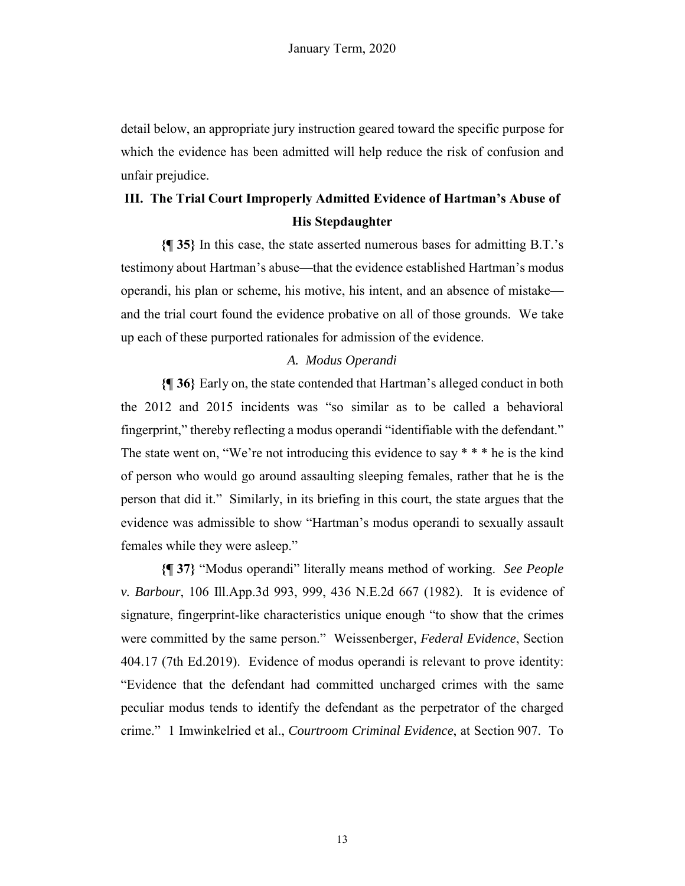detail below, an appropriate jury instruction geared toward the specific purpose for which the evidence has been admitted will help reduce the risk of confusion and unfair prejudice.

# **III. The Trial Court Improperly Admitted Evidence of Hartman's Abuse of His Stepdaughter**

**{¶ 35}** In this case, the state asserted numerous bases for admitting B.T.'s testimony about Hartman's abuse—that the evidence established Hartman's modus operandi, his plan or scheme, his motive, his intent, and an absence of mistake and the trial court found the evidence probative on all of those grounds. We take up each of these purported rationales for admission of the evidence.

## *A. Modus Operandi*

**{¶ 36}** Early on, the state contended that Hartman's alleged conduct in both the 2012 and 2015 incidents was "so similar as to be called a behavioral fingerprint," thereby reflecting a modus operandi "identifiable with the defendant." The state went on, "We're not introducing this evidence to say \* \* \* he is the kind of person who would go around assaulting sleeping females, rather that he is the person that did it." Similarly, in its briefing in this court, the state argues that the evidence was admissible to show "Hartman's modus operandi to sexually assault females while they were asleep."

**{¶ 37}** "Modus operandi" literally means method of working. *See People v. Barbour*, 106 Ill.App.3d 993, 999, 436 N.E.2d 667 (1982). It is evidence of signature, fingerprint-like characteristics unique enough "to show that the crimes were committed by the same person." Weissenberger, *Federal Evidence*, Section 404.17 (7th Ed.2019). Evidence of modus operandi is relevant to prove identity: "Evidence that the defendant had committed uncharged crimes with the same peculiar modus tends to identify the defendant as the perpetrator of the charged crime." 1 Imwinkelried et al., *Courtroom Criminal Evidence*, at Section 907. To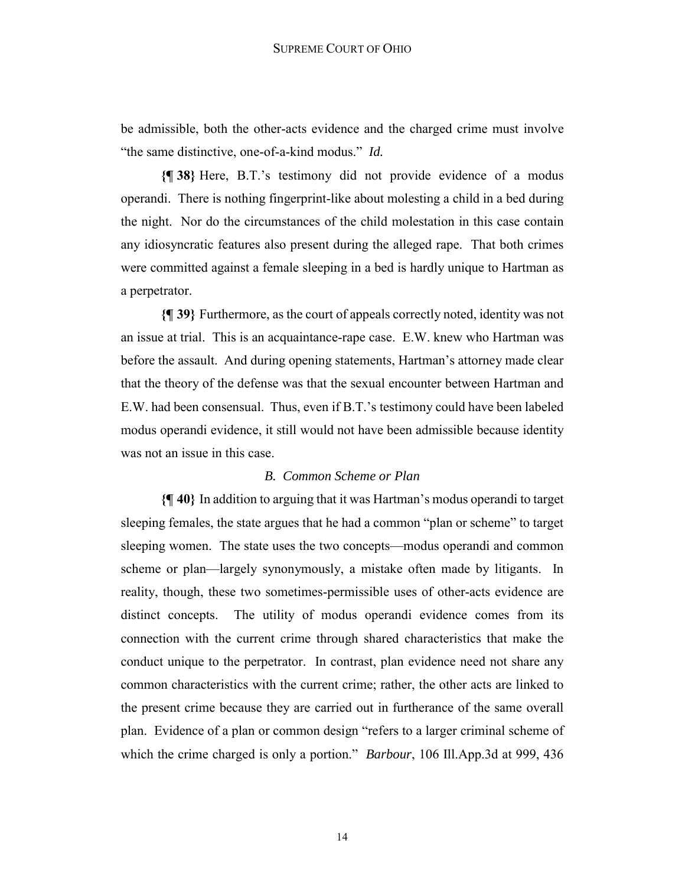be admissible, both the other-acts evidence and the charged crime must involve "the same distinctive, one-of-a-kind modus." *Id.*

**{¶ 38}** Here, B.T.'s testimony did not provide evidence of a modus operandi. There is nothing fingerprint-like about molesting a child in a bed during the night. Nor do the circumstances of the child molestation in this case contain any idiosyncratic features also present during the alleged rape. That both crimes were committed against a female sleeping in a bed is hardly unique to Hartman as a perpetrator.

**{¶ 39}** Furthermore, as the court of appeals correctly noted, identity was not an issue at trial. This is an acquaintance-rape case. E.W. knew who Hartman was before the assault. And during opening statements, Hartman's attorney made clear that the theory of the defense was that the sexual encounter between Hartman and E.W. had been consensual. Thus, even if B.T.'s testimony could have been labeled modus operandi evidence, it still would not have been admissible because identity was not an issue in this case.

#### *B. Common Scheme or Plan*

**{¶ 40}** In addition to arguing that it was Hartman's modus operandi to target sleeping females, the state argues that he had a common "plan or scheme" to target sleeping women. The state uses the two concepts—modus operandi and common scheme or plan—largely synonymously, a mistake often made by litigants. In reality, though, these two sometimes-permissible uses of other-acts evidence are distinct concepts. The utility of modus operandi evidence comes from its connection with the current crime through shared characteristics that make the conduct unique to the perpetrator. In contrast, plan evidence need not share any common characteristics with the current crime; rather, the other acts are linked to the present crime because they are carried out in furtherance of the same overall plan. Evidence of a plan or common design "refers to a larger criminal scheme of which the crime charged is only a portion." *Barbour*, 106 Ill.App.3d at 999, 436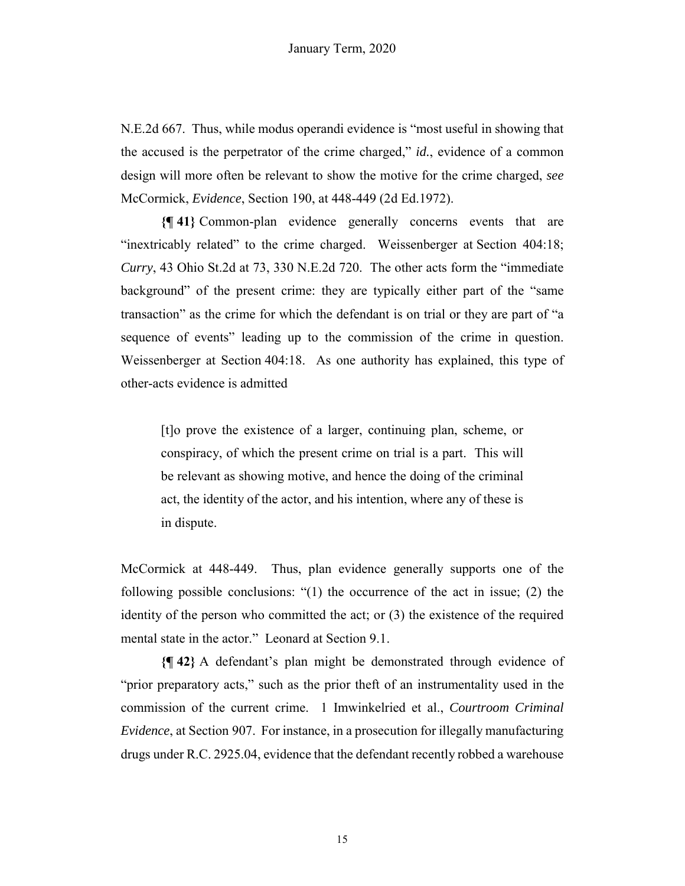N.E.2d 667. Thus, while modus operandi evidence is "most useful in showing that the accused is the perpetrator of the crime charged," *id.*, evidence of a common design will more often be relevant to show the motive for the crime charged, *see* McCormick, *Evidence*, Section 190, at 448-449 (2d Ed.1972).

**{¶ 41}** Common-plan evidence generally concerns events that are "inextricably related" to the crime charged. Weissenberger at Section 404:18; *Curry*, 43 Ohio St.2d at 73, 330 N.E.2d 720. The other acts form the "immediate background" of the present crime: they are typically either part of the "same transaction" as the crime for which the defendant is on trial or they are part of "a sequence of events" leading up to the commission of the crime in question. Weissenberger at Section 404:18. As one authority has explained, this type of other-acts evidence is admitted

[t]o prove the existence of a larger, continuing plan, scheme, or conspiracy, of which the present crime on trial is a part. This will be relevant as showing motive, and hence the doing of the criminal act, the identity of the actor, and his intention, where any of these is in dispute.

McCormick at 448-449. Thus, plan evidence generally supports one of the following possible conclusions: "(1) the occurrence of the act in issue; (2) the identity of the person who committed the act; or (3) the existence of the required mental state in the actor." Leonard at Section 9.1.

**{¶ 42}** A defendant's plan might be demonstrated through evidence of "prior preparatory acts," such as the prior theft of an instrumentality used in the commission of the current crime. 1 Imwinkelried et al., *Courtroom Criminal Evidence*, at Section 907. For instance, in a prosecution for illegally manufacturing drugs under R.C. 2925.04, evidence that the defendant recently robbed a warehouse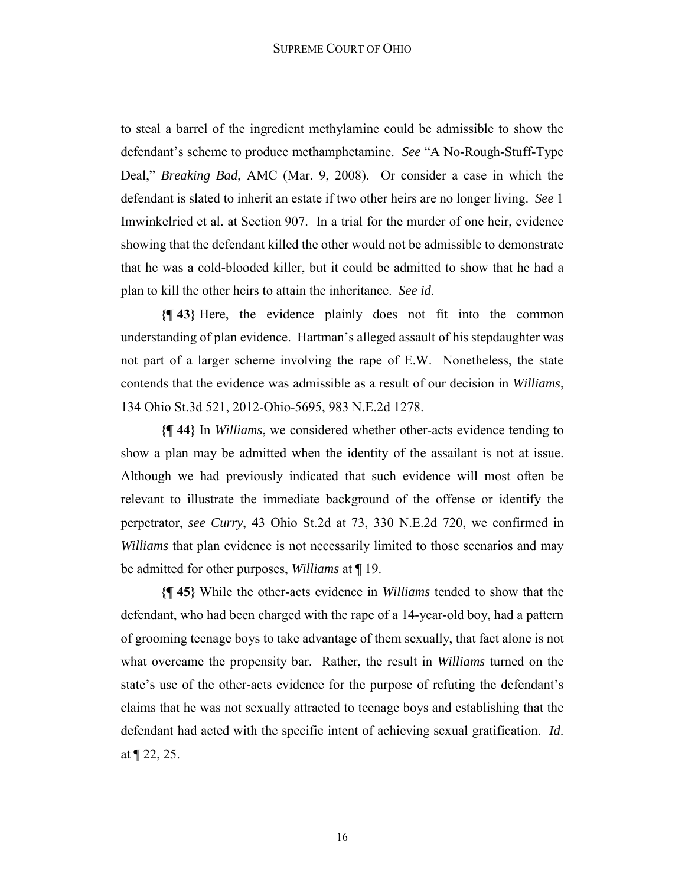to steal a barrel of the ingredient methylamine could be admissible to show the defendant's scheme to produce methamphetamine. *See* "A No-Rough-Stuff-Type Deal," *Breaking Bad*, AMC (Mar. 9, 2008). Or consider a case in which the defendant is slated to inherit an estate if two other heirs are no longer living. *See* 1 Imwinkelried et al. at Section 907. In a trial for the murder of one heir, evidence showing that the defendant killed the other would not be admissible to demonstrate that he was a cold-blooded killer, but it could be admitted to show that he had a plan to kill the other heirs to attain the inheritance. *See id*.

**{¶ 43}** Here, the evidence plainly does not fit into the common understanding of plan evidence. Hartman's alleged assault of his stepdaughter was not part of a larger scheme involving the rape of E.W. Nonetheless, the state contends that the evidence was admissible as a result of our decision in *Williams*, 134 Ohio St.3d 521, 2012-Ohio-5695, 983 N.E.2d 1278.

**{¶ 44}** In *Williams*, we considered whether other-acts evidence tending to show a plan may be admitted when the identity of the assailant is not at issue. Although we had previously indicated that such evidence will most often be relevant to illustrate the immediate background of the offense or identify the perpetrator, *see Curry*, 43 Ohio St.2d at 73, 330 N.E.2d 720, we confirmed in *Williams* that plan evidence is not necessarily limited to those scenarios and may be admitted for other purposes, *Williams* at ¶ 19.

**{¶ 45}** While the other-acts evidence in *Williams* tended to show that the defendant, who had been charged with the rape of a 14-year-old boy, had a pattern of grooming teenage boys to take advantage of them sexually, that fact alone is not what overcame the propensity bar. Rather, the result in *Williams* turned on the state's use of the other-acts evidence for the purpose of refuting the defendant's claims that he was not sexually attracted to teenage boys and establishing that the defendant had acted with the specific intent of achieving sexual gratification. *Id*. at ¶ 22, 25.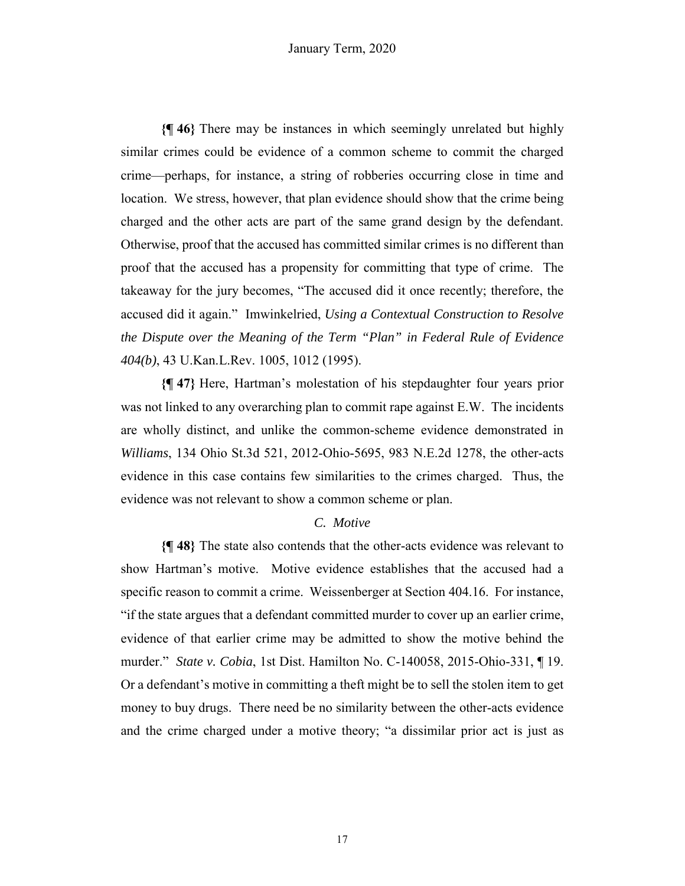**{¶ 46}** There may be instances in which seemingly unrelated but highly similar crimes could be evidence of a common scheme to commit the charged crime—perhaps, for instance, a string of robberies occurring close in time and location. We stress, however, that plan evidence should show that the crime being charged and the other acts are part of the same grand design by the defendant. Otherwise, proof that the accused has committed similar crimes is no different than proof that the accused has a propensity for committing that type of crime. The takeaway for the jury becomes, "The accused did it once recently; therefore, the accused did it again." Imwinkelried, *Using a Contextual Construction to Resolve the Dispute over the Meaning of the Term "Plan" in Federal Rule of Evidence 404(b)*, 43 U.Kan.L.Rev. 1005, 1012 (1995).

**{¶ 47}** Here, Hartman's molestation of his stepdaughter four years prior was not linked to any overarching plan to commit rape against E.W. The incidents are wholly distinct, and unlike the common-scheme evidence demonstrated in *Williams*, 134 Ohio St.3d 521, 2012-Ohio-5695, 983 N.E.2d 1278, the other-acts evidence in this case contains few similarities to the crimes charged. Thus, the evidence was not relevant to show a common scheme or plan.

# *C. Motive*

**{¶ 48}** The state also contends that the other-acts evidence was relevant to show Hartman's motive. Motive evidence establishes that the accused had a specific reason to commit a crime. Weissenberger at Section 404.16. For instance, "if the state argues that a defendant committed murder to cover up an earlier crime, evidence of that earlier crime may be admitted to show the motive behind the murder." *State v. Cobia*, 1st Dist. Hamilton No. C-140058, 2015-Ohio-331, ¶ 19. Or a defendant's motive in committing a theft might be to sell the stolen item to get money to buy drugs. There need be no similarity between the other-acts evidence and the crime charged under a motive theory; "a dissimilar prior act is just as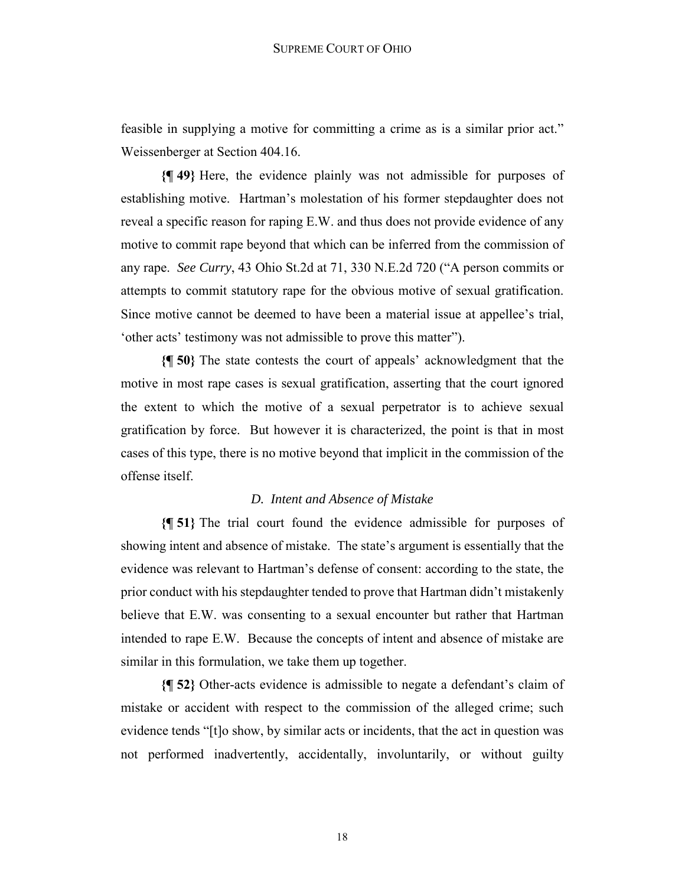feasible in supplying a motive for committing a crime as is a similar prior act." Weissenberger at Section 404.16.

**{¶ 49}** Here, the evidence plainly was not admissible for purposes of establishing motive. Hartman's molestation of his former stepdaughter does not reveal a specific reason for raping E.W. and thus does not provide evidence of any motive to commit rape beyond that which can be inferred from the commission of any rape. *See Curry*, 43 Ohio St.2d at 71, 330 N.E.2d 720 ("A person commits or attempts to commit statutory rape for the obvious motive of sexual gratification. Since motive cannot be deemed to have been a material issue at appellee's trial, 'other acts' testimony was not admissible to prove this matter").

**{¶ 50}** The state contests the court of appeals' acknowledgment that the motive in most rape cases is sexual gratification, asserting that the court ignored the extent to which the motive of a sexual perpetrator is to achieve sexual gratification by force. But however it is characterized, the point is that in most cases of this type, there is no motive beyond that implicit in the commission of the offense itself.

### *D. Intent and Absence of Mistake*

**{¶ 51}** The trial court found the evidence admissible for purposes of showing intent and absence of mistake. The state's argument is essentially that the evidence was relevant to Hartman's defense of consent: according to the state, the prior conduct with his stepdaughter tended to prove that Hartman didn't mistakenly believe that E.W. was consenting to a sexual encounter but rather that Hartman intended to rape E.W. Because the concepts of intent and absence of mistake are similar in this formulation, we take them up together.

**{¶ 52}** Other-acts evidence is admissible to negate a defendant's claim of mistake or accident with respect to the commission of the alleged crime; such evidence tends "[t]o show, by similar acts or incidents, that the act in question was not performed inadvertently, accidentally, involuntarily, or without guilty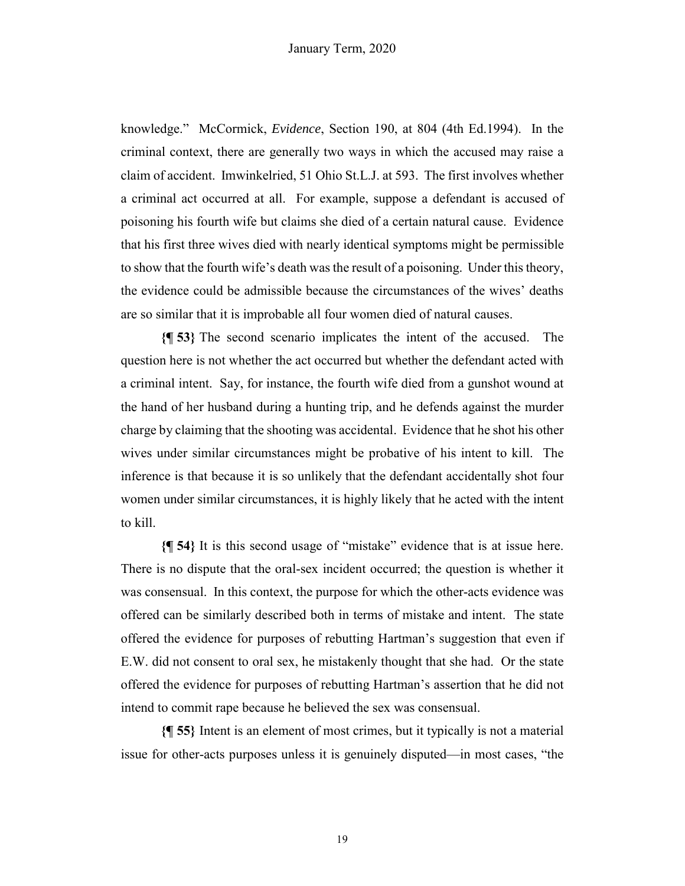knowledge." McCormick, *Evidence*, Section 190, at 804 (4th Ed.1994). In the criminal context, there are generally two ways in which the accused may raise a claim of accident. Imwinkelried, 51 Ohio St.L.J. at 593. The first involves whether a criminal act occurred at all. For example, suppose a defendant is accused of poisoning his fourth wife but claims she died of a certain natural cause. Evidence that his first three wives died with nearly identical symptoms might be permissible to show that the fourth wife's death was the result of a poisoning. Under this theory, the evidence could be admissible because the circumstances of the wives' deaths are so similar that it is improbable all four women died of natural causes.

**{¶ 53}** The second scenario implicates the intent of the accused. The question here is not whether the act occurred but whether the defendant acted with a criminal intent. Say, for instance, the fourth wife died from a gunshot wound at the hand of her husband during a hunting trip, and he defends against the murder charge by claiming that the shooting was accidental. Evidence that he shot his other wives under similar circumstances might be probative of his intent to kill. The inference is that because it is so unlikely that the defendant accidentally shot four women under similar circumstances, it is highly likely that he acted with the intent to kill.

**{¶ 54}** It is this second usage of "mistake" evidence that is at issue here. There is no dispute that the oral-sex incident occurred; the question is whether it was consensual. In this context, the purpose for which the other-acts evidence was offered can be similarly described both in terms of mistake and intent. The state offered the evidence for purposes of rebutting Hartman's suggestion that even if E.W. did not consent to oral sex, he mistakenly thought that she had. Or the state offered the evidence for purposes of rebutting Hartman's assertion that he did not intend to commit rape because he believed the sex was consensual.

**{¶ 55}** Intent is an element of most crimes, but it typically is not a material issue for other-acts purposes unless it is genuinely disputed—in most cases, "the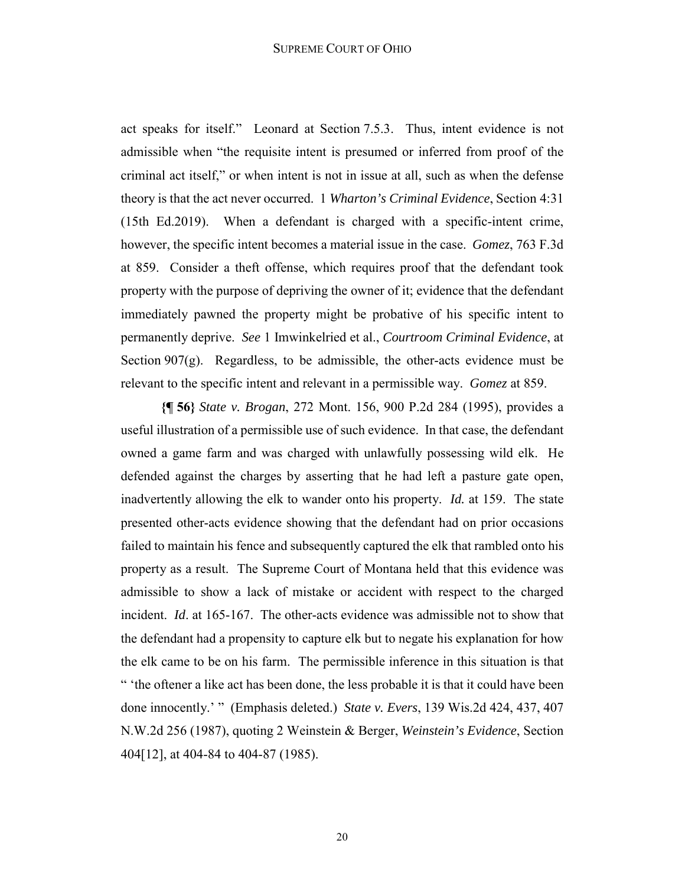act speaks for itself." Leonard at Section 7.5.3. Thus, intent evidence is not admissible when "the requisite intent is presumed or inferred from proof of the criminal act itself," or when intent is not in issue at all, such as when the defense theory is that the act never occurred. 1 *Wharton's Criminal Evidence*, Section 4:31 (15th Ed.2019). When a defendant is charged with a specific-intent crime, however, the specific intent becomes a material issue in the case. *Gomez*, 763 F.3d at 859. Consider a theft offense, which requires proof that the defendant took property with the purpose of depriving the owner of it; evidence that the defendant immediately pawned the property might be probative of his specific intent to permanently deprive. *See* 1 Imwinkelried et al., *Courtroom Criminal Evidence*, at Section 907(g). Regardless, to be admissible, the other-acts evidence must be relevant to the specific intent and relevant in a permissible way. *Gomez* at 859.

**{¶ 56}** *State v. Brogan*, 272 Mont. 156, 900 P.2d 284 (1995), provides a useful illustration of a permissible use of such evidence. In that case, the defendant owned a game farm and was charged with unlawfully possessing wild elk. He defended against the charges by asserting that he had left a pasture gate open, inadvertently allowing the elk to wander onto his property. *Id.* at 159. The state presented other-acts evidence showing that the defendant had on prior occasions failed to maintain his fence and subsequently captured the elk that rambled onto his property as a result. The Supreme Court of Montana held that this evidence was admissible to show a lack of mistake or accident with respect to the charged incident. *Id*. at 165-167. The other-acts evidence was admissible not to show that the defendant had a propensity to capture elk but to negate his explanation for how the elk came to be on his farm. The permissible inference in this situation is that " 'the oftener a like act has been done, the less probable it is that it could have been done innocently.' " (Emphasis deleted.) *State v. Evers*, 139 Wis.2d 424, 437, 407 N.W.2d 256 (1987), quoting 2 Weinstein & Berger, *Weinstein's Evidence*, Section 404[12], at 404-84 to 404-87 (1985).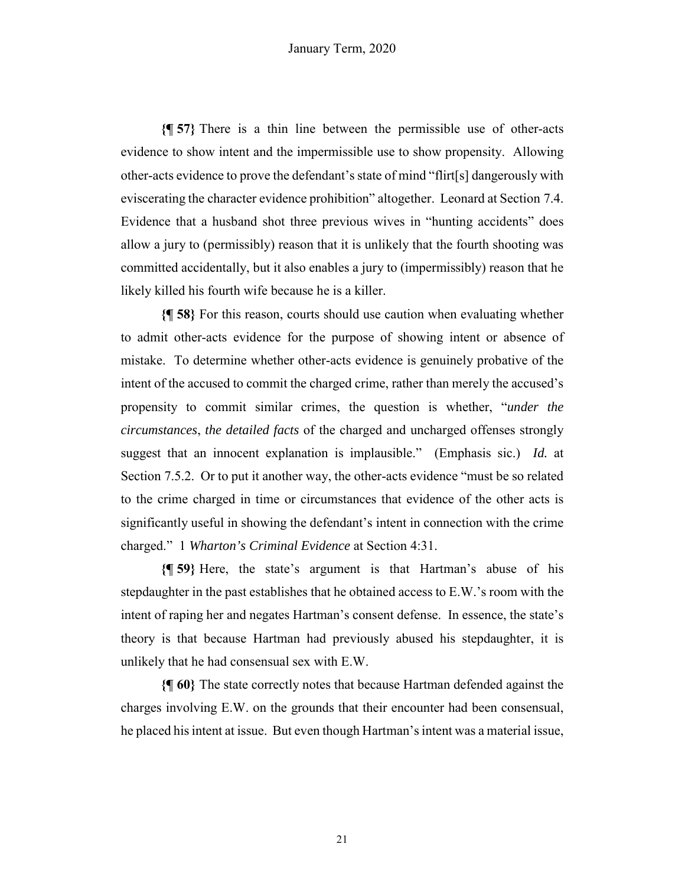**{¶ 57}** There is a thin line between the permissible use of other-acts evidence to show intent and the impermissible use to show propensity. Allowing other-acts evidence to prove the defendant's state of mind "flirt[s] dangerously with eviscerating the character evidence prohibition" altogether. Leonard at Section 7.4. Evidence that a husband shot three previous wives in "hunting accidents" does allow a jury to (permissibly) reason that it is unlikely that the fourth shooting was committed accidentally, but it also enables a jury to (impermissibly) reason that he likely killed his fourth wife because he is a killer.

**{¶ 58}** For this reason, courts should use caution when evaluating whether to admit other-acts evidence for the purpose of showing intent or absence of mistake. To determine whether other-acts evidence is genuinely probative of the intent of the accused to commit the charged crime, rather than merely the accused's propensity to commit similar crimes, the question is whether, "*under the circumstances*, *the detailed facts* of the charged and uncharged offenses strongly suggest that an innocent explanation is implausible." (Emphasis sic.) *Id.* at Section 7.5.2. Or to put it another way, the other-acts evidence "must be so related to the crime charged in time or circumstances that evidence of the other acts is significantly useful in showing the defendant's intent in connection with the crime charged." 1 *Wharton's Criminal Evidence* at Section 4:31.

**{¶ 59}** Here, the state's argument is that Hartman's abuse of his stepdaughter in the past establishes that he obtained access to E.W.'s room with the intent of raping her and negates Hartman's consent defense. In essence, the state's theory is that because Hartman had previously abused his stepdaughter, it is unlikely that he had consensual sex with E.W.

**{¶ 60}** The state correctly notes that because Hartman defended against the charges involving E.W. on the grounds that their encounter had been consensual, he placed his intent at issue. But even though Hartman's intent was a material issue,

21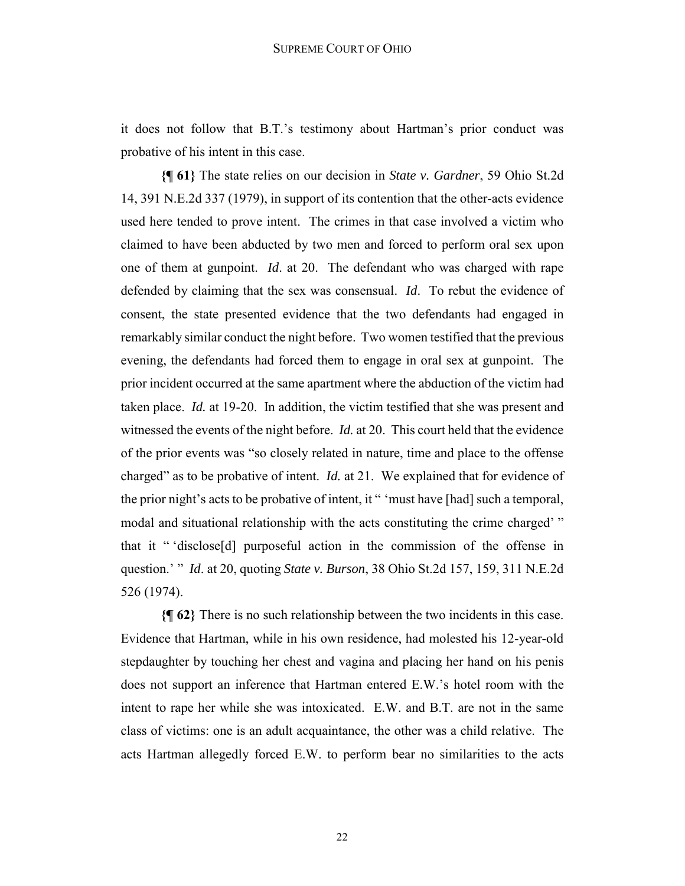it does not follow that B.T.'s testimony about Hartman's prior conduct was probative of his intent in this case.

**{¶ 61}** The state relies on our decision in *State v. Gardner*, 59 Ohio St.2d 14, 391 N.E.2d 337 (1979), in support of its contention that the other-acts evidence used here tended to prove intent. The crimes in that case involved a victim who claimed to have been abducted by two men and forced to perform oral sex upon one of them at gunpoint. *Id*. at 20. The defendant who was charged with rape defended by claiming that the sex was consensual. *Id*. To rebut the evidence of consent, the state presented evidence that the two defendants had engaged in remarkably similar conduct the night before. Two women testified that the previous evening, the defendants had forced them to engage in oral sex at gunpoint. The prior incident occurred at the same apartment where the abduction of the victim had taken place. *Id.* at 19-20. In addition, the victim testified that she was present and witnessed the events of the night before. *Id.* at 20. This court held that the evidence of the prior events was "so closely related in nature, time and place to the offense charged" as to be probative of intent. *Id.* at 21. We explained that for evidence of the prior night's acts to be probative of intent, it " 'must have [had] such a temporal, modal and situational relationship with the acts constituting the crime charged'" that it " 'disclose[d] purposeful action in the commission of the offense in question.' " *Id*. at 20, quoting *State v. Burson*, 38 Ohio St.2d 157, 159, 311 N.E.2d 526 (1974).

**{¶ 62}** There is no such relationship between the two incidents in this case. Evidence that Hartman, while in his own residence, had molested his 12-year-old stepdaughter by touching her chest and vagina and placing her hand on his penis does not support an inference that Hartman entered E.W.'s hotel room with the intent to rape her while she was intoxicated. E.W. and B.T. are not in the same class of victims: one is an adult acquaintance, the other was a child relative. The acts Hartman allegedly forced E.W. to perform bear no similarities to the acts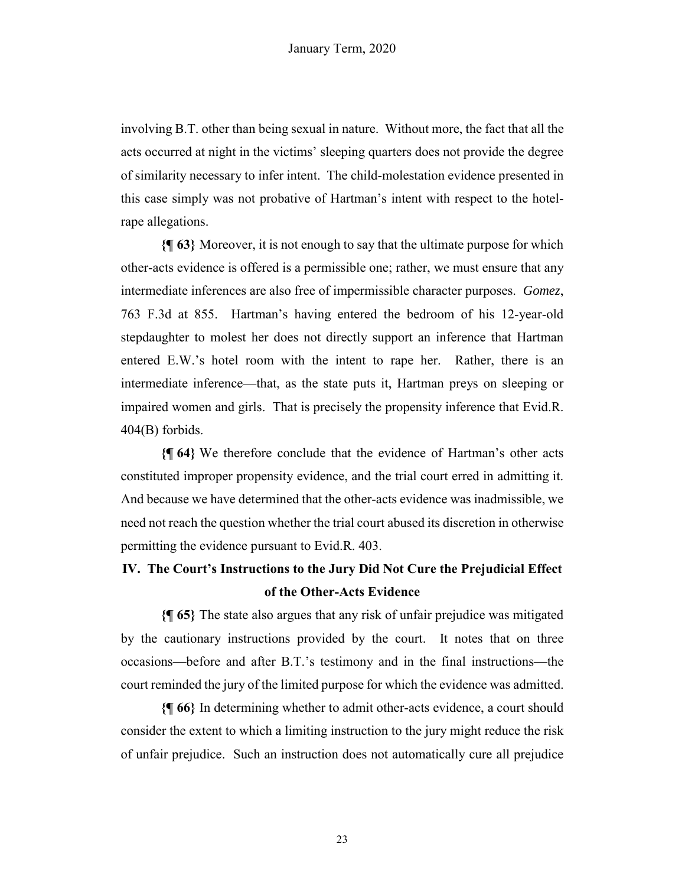involving B.T. other than being sexual in nature. Without more, the fact that all the acts occurred at night in the victims' sleeping quarters does not provide the degree of similarity necessary to infer intent. The child-molestation evidence presented in this case simply was not probative of Hartman's intent with respect to the hotelrape allegations.

**{¶ 63}** Moreover, it is not enough to say that the ultimate purpose for which other-acts evidence is offered is a permissible one; rather, we must ensure that any intermediate inferences are also free of impermissible character purposes. *Gomez*, 763 F.3d at 855. Hartman's having entered the bedroom of his 12-year-old stepdaughter to molest her does not directly support an inference that Hartman entered E.W.'s hotel room with the intent to rape her. Rather, there is an intermediate inference—that, as the state puts it, Hartman preys on sleeping or impaired women and girls. That is precisely the propensity inference that Evid.R. 404(B) forbids.

**{¶ 64}** We therefore conclude that the evidence of Hartman's other acts constituted improper propensity evidence, and the trial court erred in admitting it. And because we have determined that the other-acts evidence was inadmissible, we need not reach the question whether the trial court abused its discretion in otherwise permitting the evidence pursuant to Evid.R. 403.

# **IV. The Court's Instructions to the Jury Did Not Cure the Prejudicial Effect of the Other-Acts Evidence**

**{¶ 65}** The state also argues that any risk of unfair prejudice was mitigated by the cautionary instructions provided by the court. It notes that on three occasions—before and after B.T.'s testimony and in the final instructions—the court reminded the jury of the limited purpose for which the evidence was admitted.

**{¶ 66}** In determining whether to admit other-acts evidence, a court should consider the extent to which a limiting instruction to the jury might reduce the risk of unfair prejudice. Such an instruction does not automatically cure all prejudice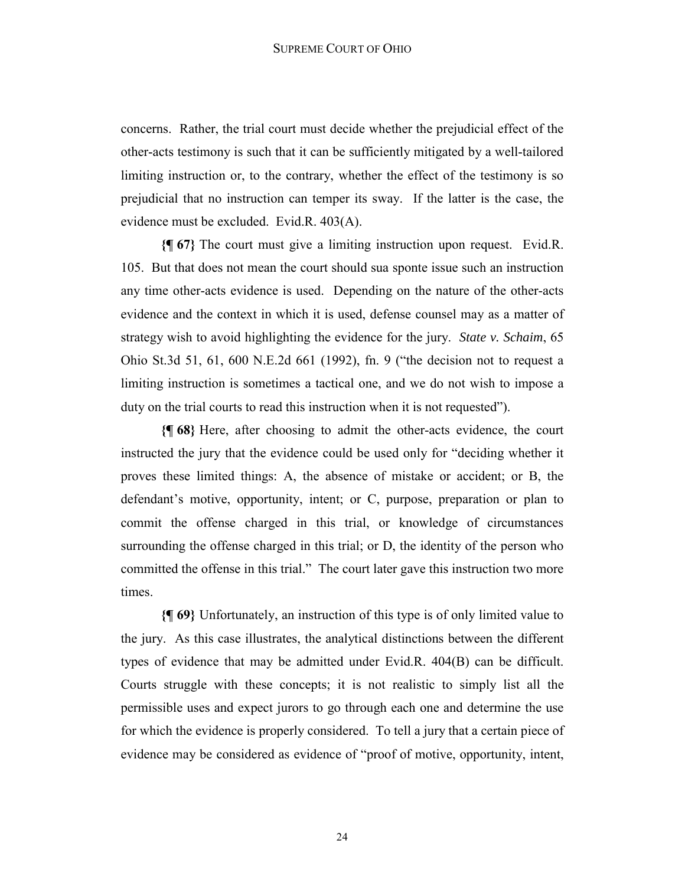concerns. Rather, the trial court must decide whether the prejudicial effect of the other-acts testimony is such that it can be sufficiently mitigated by a well-tailored limiting instruction or, to the contrary, whether the effect of the testimony is so prejudicial that no instruction can temper its sway. If the latter is the case, the evidence must be excluded. Evid.R. 403(A).

**{¶ 67}** The court must give a limiting instruction upon request. Evid.R. 105. But that does not mean the court should sua sponte issue such an instruction any time other-acts evidence is used. Depending on the nature of the other-acts evidence and the context in which it is used, defense counsel may as a matter of strategy wish to avoid highlighting the evidence for the jury. *State v. Schaim*, 65 Ohio St.3d 51, 61, 600 N.E.2d 661 (1992), fn. 9 ("the decision not to request a limiting instruction is sometimes a tactical one, and we do not wish to impose a duty on the trial courts to read this instruction when it is not requested").

**{¶ 68}** Here, after choosing to admit the other-acts evidence, the court instructed the jury that the evidence could be used only for "deciding whether it proves these limited things: A, the absence of mistake or accident; or B, the defendant's motive, opportunity, intent; or C, purpose, preparation or plan to commit the offense charged in this trial, or knowledge of circumstances surrounding the offense charged in this trial; or D, the identity of the person who committed the offense in this trial." The court later gave this instruction two more times.

**{¶ 69}** Unfortunately, an instruction of this type is of only limited value to the jury. As this case illustrates, the analytical distinctions between the different types of evidence that may be admitted under Evid.R. 404(B) can be difficult. Courts struggle with these concepts; it is not realistic to simply list all the permissible uses and expect jurors to go through each one and determine the use for which the evidence is properly considered. To tell a jury that a certain piece of evidence may be considered as evidence of "proof of motive, opportunity, intent,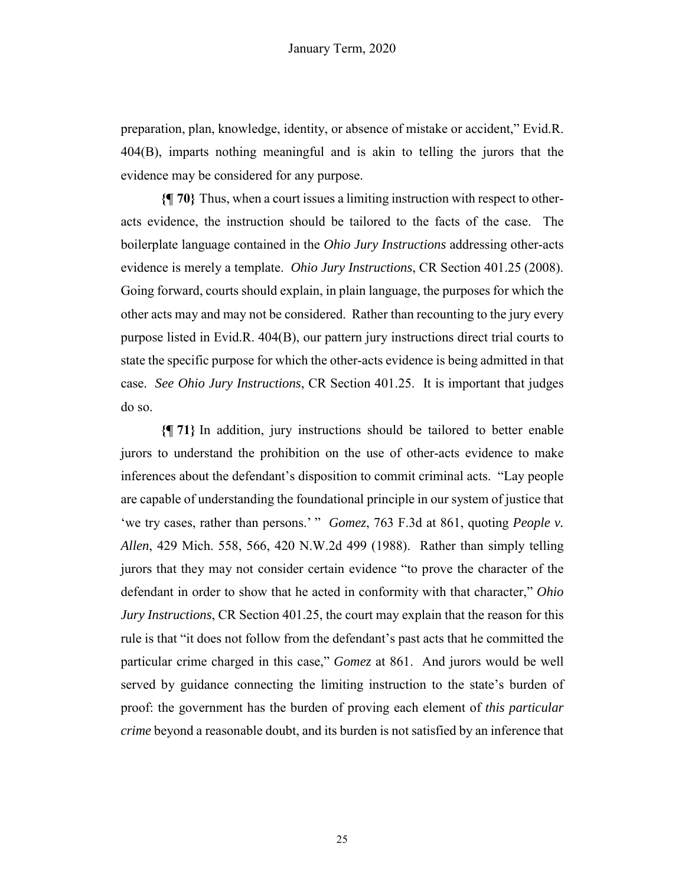preparation, plan, knowledge, identity, or absence of mistake or accident," Evid.R. 404(B), imparts nothing meaningful and is akin to telling the jurors that the evidence may be considered for any purpose.

**{¶ 70}** Thus, when a court issues a limiting instruction with respect to otheracts evidence, the instruction should be tailored to the facts of the case. The boilerplate language contained in the *Ohio Jury Instructions* addressing other-acts evidence is merely a template. *Ohio Jury Instructions*, CR Section 401.25 (2008). Going forward, courts should explain, in plain language, the purposes for which the other acts may and may not be considered. Rather than recounting to the jury every purpose listed in Evid.R. 404(B), our pattern jury instructions direct trial courts to state the specific purpose for which the other-acts evidence is being admitted in that case. *See Ohio Jury Instructions*, CR Section 401.25. It is important that judges do so.

**{¶ 71}** In addition, jury instructions should be tailored to better enable jurors to understand the prohibition on the use of other-acts evidence to make inferences about the defendant's disposition to commit criminal acts. "Lay people are capable of understanding the foundational principle in our system of justice that 'we try cases, rather than persons.' " *Gomez*, 763 F.3d at 861, quoting *People v. Allen*, 429 Mich. 558, 566, 420 N.W.2d 499 (1988). Rather than simply telling jurors that they may not consider certain evidence "to prove the character of the defendant in order to show that he acted in conformity with that character," *Ohio Jury Instructions*, CR Section 401.25, the court may explain that the reason for this rule is that "it does not follow from the defendant's past acts that he committed the particular crime charged in this case," *Gomez* at 861. And jurors would be well served by guidance connecting the limiting instruction to the state's burden of proof: the government has the burden of proving each element of *this particular crime* beyond a reasonable doubt, and its burden is not satisfied by an inference that